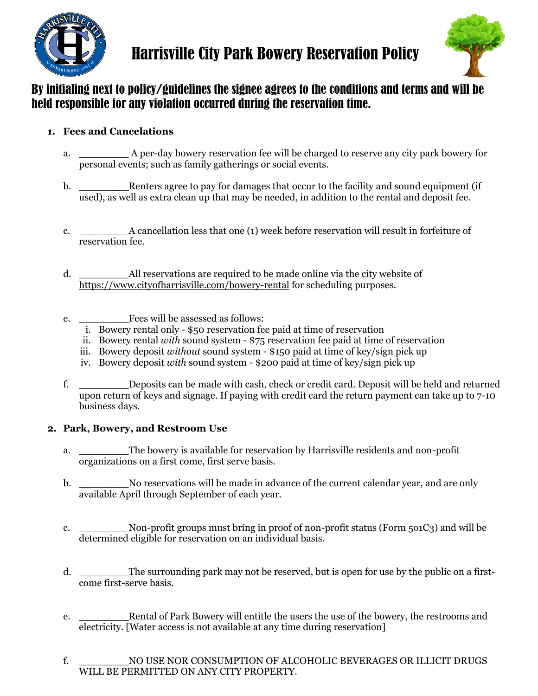



# By initialing next to policy/guidelines the signee agrees to the conditions and terms and will be held responsible for any violation occurred during the reservation time.

## **1. Fees and Cancelations**

- a. \_\_\_\_\_\_\_\_ A per-day bowery reservation fee will be charged to reserve any city park bowery for personal events; such as family gatherings or social events.
- b. \_\_\_\_\_\_\_\_Renters agree to pay for damages that occur to the facility and sound equipment (if used), as well as extra clean up that may be needed, in addition to the rental and deposit fee.
- c. \_\_\_\_\_\_\_\_A cancellation less that one (1) week before reservation will result in forfeiture of reservation fee.
- d. \_\_\_\_\_\_\_\_All reservations are required to be made online via the city website of https://www.cityofharrisville.com/bowery-rental for scheduling purposes.
- e. \_\_\_\_\_\_\_\_Fees will be assessed as follows:
	- i. Bowery rental only \$50 reservation fee paid at time of reservation
	- ii. Bowery rental *with* sound system \$75 reservation fee paid at time of reservation
	- iii. Bowery deposit *without* sound system \$150 paid at time of key/sign pick up
	- iv. Bowery deposit *with* sound system \$200 paid at time of key/sign pick up
- f. \_\_\_\_\_\_\_\_Deposits can be made with cash, check or credit card. Deposit will be held and returned upon return of keys and signage. If paying with credit card the return payment can take up to 7-10 business days.

## **2. Park, Bowery, and Restroom Use**

- a. \_\_\_\_\_\_\_\_The bowery is available for reservation by Harrisville residents and non-profit organizations on a first come, first serve basis.
- b. \_\_\_\_\_\_\_\_No reservations will be made in advance of the current calendar year, and are only available April through September of each year.
- c. \_\_\_\_\_\_\_\_Non-profit groups must bring in proof of non-profit status (Form 5o1C3) and will be determined eligible for reservation on an individual basis.
- d. The surrounding park may not be reserved, but is open for use by the public on a firstcome first-serve basis.
- e. \_\_\_\_\_\_\_\_Rental of Park Bowery will entitle the users the use of the bowery, the restrooms and electricity. [Water access is not available at any time during reservation]
- f. \_\_\_\_\_\_\_\_NO USE NOR CONSUMPTION OF ALCOHOLIC BEVERAGES OR ILLICIT DRUGS WILL BE PERMITTED ON ANY CITY PROPERTY.